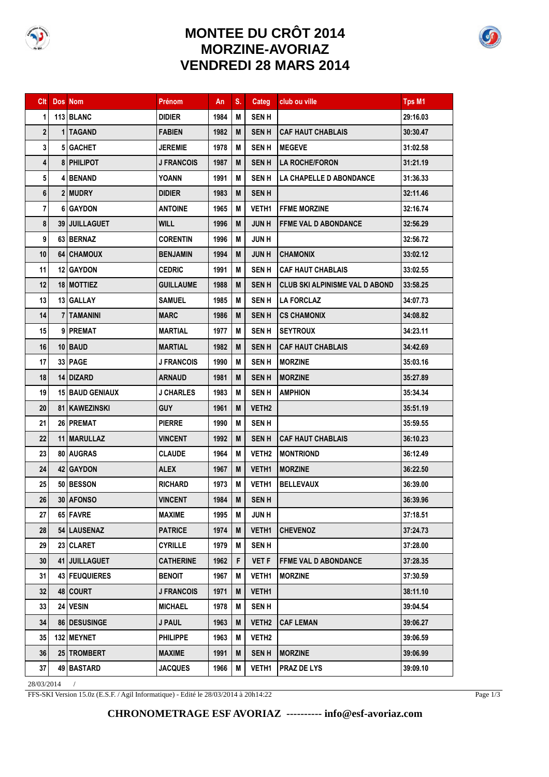

## **MONTEE DU CRÔT 2014 MORZINE-AVORIAZ VENDREDI 28 MARS 2014**

|    | <b>Clt</b> Dos Nom |                        | Prénom            | An   | S. | Categ             | club ou ville                    | <b>Tps M1</b> |
|----|--------------------|------------------------|-------------------|------|----|-------------------|----------------------------------|---------------|
| 1  |                    | 113 BLANC              | DIDIER            | 1984 | М  | <b>SEN H</b>      |                                  | 29:16.03      |
| 2  |                    | 1 TAGAND               | <b>FABIEN</b>     | 1982 | M  | <b>SEN H</b>      | <b>CAF HAUT CHABLAIS</b>         | 30:30.47      |
| 3  |                    | 5 GACHET               | <b>JEREMIE</b>    | 1978 | M  | <b>SENH</b>       | <b>MEGEVE</b>                    | 31:02.58      |
| 4  |                    | 8 PHILIPOT             | <b>J FRANCOIS</b> | 1987 | M  | <b>SENH</b>       | <b>LA ROCHE/FORON</b>            | 31:21.19      |
| 5  |                    | 4 BENAND               | <b>YOANN</b>      | 1991 | М  | <b>SENH</b>       | <b>LA CHAPELLE D ABONDANCE</b>   | 31:36.33      |
| 6  |                    | 2 MUDRY                | <b>DIDIER</b>     | 1983 | M  | <b>SENH</b>       |                                  | 32:11.46      |
| 7  |                    | 6 GAYDON               | <b>ANTOINE</b>    | 1965 | М  | <b>VETH1</b>      | <b>IFFME MORZINE</b>             | 32:16.74      |
| 8  |                    | 39 JUILLAGUET          | WILL              | 1996 | M  | <b>JUN H</b>      | <b>FFME VAL D ABONDANCE</b>      | 32:56.29      |
| 9  |                    | 63 BERNAZ              | <b>CORENTIN</b>   | 1996 | М  | <b>JUNH</b>       |                                  | 32:56.72      |
| 10 |                    | 64 CHAMOUX             | <b>BENJAMIN</b>   | 1994 | M  | <b>JUNH</b>       | <b>CHAMONIX</b>                  | 33:02.12      |
| 11 |                    | 12 GAYDON              | <b>CEDRIC</b>     | 1991 | M  | <b>SENH</b>       | <b>CAF HAUT CHABLAIS</b>         | 33:02.55      |
| 12 |                    | 18 MOTTIEZ             | <b>GUILLAUME</b>  | 1988 | M  | SEN H             | i CLUB SKI ALPINISME VAL D ABOND | 33:58.25      |
| 13 |                    | 13 GALLAY              | SAMUEL            | 1985 | М  | <b>SENH</b>       | <b>LA FORCLAZ</b>                | 34:07.73      |
| 14 |                    | 7 TAMANINI             | <b>MARC</b>       | 1986 | M  | <b>SEN H</b>      | <b>CS CHAMONIX</b>               | 34:08.82      |
| 15 |                    | 9 PREMAT               | <b>MARTIAL</b>    | 1977 | М  | <b>SENH</b>       | <b>SEYTROUX</b>                  | 34:23.11      |
| 16 |                    | 10 BAUD                | <b>MARTIAL</b>    | 1982 | M  | <b>SENH</b>       | <b>CAF HAUT CHABLAIS</b>         | 34:42.69      |
| 17 |                    | 33 PAGE                | <b>J FRANCOIS</b> | 1990 | М  | <b>SENH</b>       | <b>MORZINE</b>                   | 35:03.16      |
| 18 |                    | 14 DIZARD              | ARNAUD            | 1981 | M  | <b>SENH</b>       | <b>MORZINE</b>                   | 35:27.89      |
| 19 |                    | <b>15 BAUD GENIAUX</b> | <b>J CHARLES</b>  | 1983 | М  | <b>SENH</b>       | <b>AMPHION</b>                   | 35:34.34      |
| 20 |                    | 81   KAWEZINSKI        | <b>GUY</b>        | 1961 | M  | VETH <sub>2</sub> |                                  | 35:51.19      |
| 21 |                    | 26 PREMAT              | <b>PIERRE</b>     | 1990 | М  | <b>SEN H</b>      |                                  | 35:59.55      |
| 22 |                    | 11 MARULLAZ            | <b>VINCENT</b>    | 1992 | M  | <b>SENH</b>       | <b>CAF HAUT CHABLAIS</b>         | 36:10.23      |
| 23 |                    | 80 AUGRAS              | <b>CLAUDE</b>     | 1964 | М  | <b>VETH2</b>      | <b>MONTRIOND</b>                 | 36:12.49      |
| 24 |                    | 42 GAYDON              | <b>ALEX</b>       | 1967 | M  | VETH1             | <b>MORZINE</b>                   | 36:22.50      |
| 25 |                    | 50 BESSON              | <b>RICHARD</b>    | 1973 | М  | <b>VETH1</b>      | <b>BELLEVAUX</b>                 | 36:39.00      |
| 26 |                    | 30 AFONSO              | <b>VINCENT</b>    | 1984 | M  | <b>SENH</b>       |                                  | 36:39.96      |
| 27 |                    | 65 FAVRE               | <b>MAXIME</b>     | 1995 | Μ  | <b>JUNH</b>       |                                  | 37:18.51      |
| 28 |                    | 54 LAUSENAZ            | <b>PATRICE</b>    | 1974 | M  | VETH1             | <b>CHEVENOZ</b>                  | 37:24.73      |
| 29 |                    | 23 CLARET              | <b>CYRILLE</b>    | 1979 | Μ  | <b>SENH</b>       |                                  | 37:28.00      |
| 30 |                    | 41 JUILLAGUET          | <b>CATHERINE</b>  | 1962 | F  | <b>VET F</b>      | <b>FFME VAL D ABONDANCE</b>      | 37:28.35      |
| 31 |                    | 43 FEUQUIERES          | <b>BENOIT</b>     | 1967 | Μ  | VETH1             | <b>MORZINE</b>                   | 37:30.59      |
| 32 |                    | 48 COURT               | <b>J FRANCOIS</b> | 1971 | M  | VETH1             |                                  | 38:11.10      |
| 33 |                    | 24 VESIN               | <b>MICHAEL</b>    | 1978 | M  | <b>SENH</b>       |                                  | 39:04.54      |
| 34 |                    | 86 DESUSINGE           | J PAUL            | 1963 | M  | VETH <sub>2</sub> | <b>CAF LEMAN</b>                 | 39:06.27      |
| 35 |                    | 132 MEYNET             | <b>PHILIPPE</b>   | 1963 | Μ  | <b>VETH2</b>      |                                  | 39:06.59      |
| 36 |                    | 25 TROMBERT            | <b>MAXIME</b>     | 1991 | M  | <b>SENH</b>       | <b>MORZINE</b>                   | 39:06.99      |
| 37 |                    | 49 BASTARD             | <b>JACQUES</b>    | 1966 | M  | <b>VETH1</b>      | <b>PRAZ DE LYS</b>               | 39:09.10      |

28/03/2014 /

FFS-SKI Version 15.0z (E.S.F. / Agil Informatique) - Edité le 28/03/2014 à 20h14:22

Page  $1/3$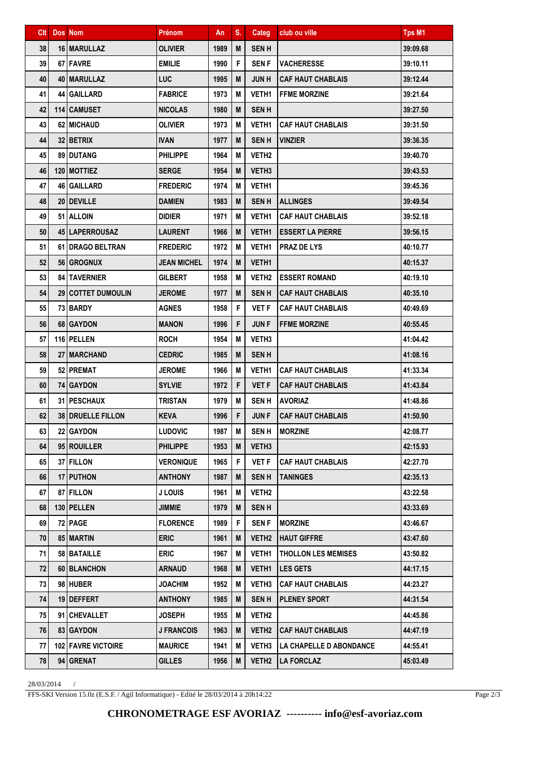## **CHRONOMETRAGE ESF AVORIAZ ---------- info@esf-avoriaz.com**

FFS-SKI Version 15.0z (E.S.F. / Agil Informatique) - Edité le 28/03/2014 à 20h14:22

28/03/2014 /

| Clt | Dos Nom                     | Prénom            | An   | S. | Categ             | club ou ville              | Tps M1   |
|-----|-----------------------------|-------------------|------|----|-------------------|----------------------------|----------|
| 38  | 16   MARULLAZ               | <b>OLIVIER</b>    | 1989 | M  | <b>SENH</b>       |                            | 39:09.68 |
| 39  | 67 FAVRE                    | <b>EMILIE</b>     | 1990 | F  | <b>SEN F</b>      | <b>VACHERESSE</b>          | 39:10.11 |
| 40  | 40   MARULLAZ               | <b>LUC</b>        | 1995 | M  | <b>JUNH</b>       | <b>CAF HAUT CHABLAIS</b>   | 39:12.44 |
| 41  | 44 GAILLARD                 | <b>FABRICE</b>    | 1973 | М  | <b>VETH1</b>      | <b>FFME MORZINE</b>        | 39:21.64 |
| 42  | 114 CAMUSET                 | <b>NICOLAS</b>    | 1980 | M  | <b>SENH</b>       |                            | 39:27.50 |
| 43  | 62   MICHAUD                | <b>OLIVIER</b>    | 1973 | M  | VETH1             | <b>CAF HAUT CHABLAIS</b>   | 39:31.50 |
| 44  | 32 BETRIX                   | <b>IVAN</b>       | 1977 | M  | <b>SENH</b>       | <b>VINZIER</b>             | 39:36.35 |
| 45  | 89 DUTANG                   | <b>PHILIPPE</b>   | 1964 | М  | VETH <sub>2</sub> |                            | 39:40.70 |
| 46  | 120 MOTTIEZ                 | <b>SERGE</b>      | 1954 | M  | VETH <sub>3</sub> |                            | 39:43.53 |
| 47  | 46   GAILLARD               | <b>FREDERIC</b>   | 1974 | M  | <b>VETH1</b>      |                            | 39:45.36 |
| 48  | 20 DEVILLE                  | <b>DAMIEN</b>     | 1983 | M  | <b>SENH</b>       | <b>ALLINGES</b>            | 39:49.54 |
| 49  | 51 ALLOIN                   | <b>DIDIER</b>     | 1971 | M  | <b>VETH1</b>      | <b>CAF HAUT CHABLAIS</b>   | 39:52.18 |
| 50  | 45 LAPERROUSAZ              | <b>LAURENT</b>    | 1966 | M  | VETH1             | <b>ESSERT LA PIERRE</b>    | 39:56.15 |
| 51  | 61   DRAGO BELTRAN          | <b>FREDERIC</b>   | 1972 | M  | <b>VETH1</b>      | <b>PRAZ DE LYS</b>         | 40:10.77 |
| 52  | <b>56 GROGNUX</b>           | JEAN MICHEL       | 1974 | M  | <b>VETH1</b>      |                            | 40:15.37 |
| 53  | <b>84   TAVERNIER</b>       | <b>GILBERT</b>    | 1958 | M  | VETH2             | <b>ESSERT ROMAND</b>       | 40:19.10 |
| 54  | <b>29   COTTET DUMOULIN</b> | <b>JEROME</b>     | 1977 | M  | <b>SENH</b>       | <b>CAF HAUT CHABLAIS</b>   | 40:35.10 |
| 55  | 73   BARDY                  | <b>AGNES</b>      | 1958 | F  | VET F             | CAF HAUT CHABLAIS          | 40:49.69 |
| 56  | 68 GAYDON                   | <b>MANON</b>      | 1996 | F  | <b>JUNF</b>       | <b>FFME MORZINE</b>        | 40:55.45 |
| 57  | 116 PELLEN                  | <b>ROCH</b>       | 1954 | М  | VETH3             |                            | 41:04.42 |
| 58  | 27   MARCHAND               | <b>CEDRIC</b>     | 1985 | M  | <b>SENH</b>       |                            | 41:08.16 |
| 59  | 52 PREMAT                   | <b>JEROME</b>     | 1966 | М  | <b>VETH1</b>      | <b>CAF HAUT CHABLAIS</b>   | 41:33.34 |
| 60  | 74   GAYDON                 | <b>SYLVIE</b>     | 1972 | F  | <b>VET F</b>      | <b>CAF HAUT CHABLAIS</b>   | 41:43.84 |
| 61  | 31   PESCHAUX               | <b>TRISTAN</b>    | 1979 | М  | <b>SENH</b>       | <b>AVORIAZ</b>             | 41:48.86 |
| 62  | <b>38   DRUELLE FILLON</b>  | <b>KEVA</b>       | 1996 | F  | <b>JUNF</b>       | <b>CAF HAUT CHABLAIS</b>   | 41:50.90 |
| 63  | 22 GAYDON                   | <b>LUDOVIC</b>    | 1987 | M  | <b>SENH</b>       | <b>MORZINE</b>             | 42:08.77 |
| 64  | 95 ROUILLER                 | <b>PHILIPPE</b>   | 1953 | M  | VETH <sub>3</sub> |                            | 42:15.93 |
| 65  | 37 FILLON                   | <b>VERONIQUE</b>  | 1965 | F  | <b>VET F</b>      | <b>CAF HAUT CHABLAIS</b>   | 42:27.70 |
| 66  | 17 PUTHON                   | <b>ANTHONY</b>    | 1987 | M  | <b>SENH</b>       | <b>TANINGES</b>            | 42:35.13 |
| 67  | 87 FILLON                   | J LOUIS           | 1961 | Μ  | <b>VETH2</b>      |                            | 43:22.58 |
| 68  | 130 PELLEN                  | JIMMIE            | 1979 | M  | <b>SENH</b>       |                            | 43:33.69 |
| 69  | 72 PAGE                     | <b>FLORENCE</b>   | 1989 | F  | SEN F             | <b>MORZINE</b>             | 43:46.67 |
| 70  | 85 MARTIN                   | <b>ERIC</b>       | 1961 | M  | VETH <sub>2</sub> | <b>HAUT GIFFRE</b>         | 43:47.60 |
| 71  | 58 BATAILLE                 | <b>ERIC</b>       | 1967 | М  | <b>VETH1</b>      | <b>THOLLON LES MEMISES</b> | 43:50.82 |
| 72  | 60   BLANCHON               | <b>ARNAUD</b>     | 1968 | M  | VETH1             | <b>LES GETS</b>            | 44:17.15 |
| 73  | 98 HUBER                    | JOACHIM           | 1952 | M  | VETH3             | <b>CAF HAUT CHABLAIS</b>   | 44:23.27 |
| 74  | 19 DEFFERT                  | <b>ANTHONY</b>    | 1985 | M  | <b>SENH</b>       | <b>PLENEY SPORT</b>        | 44:31.54 |
| 75  | 91 CHEVALLET                | <b>JOSEPH</b>     | 1955 | M  | <b>VETH2</b>      |                            | 44:45.86 |
| 76  | 83 GAYDON                   | <b>J FRANCOIS</b> | 1963 | M  | VETH <sub>2</sub> | <b>CAF HAUT CHABLAIS</b>   | 44:47.19 |
| 77  | 102 FAVRE VICTOIRE          | <b>MAURICE</b>    | 1941 | M  | <b>VETH3</b>      | LA CHAPELLE D ABONDANCE    | 44:55.41 |
| 78  | 94 GRENAT                   | <b>GILLES</b>     | 1956 | M  | VETH <sub>2</sub> | <b>LA FORCLAZ</b>          | 45:03.49 |